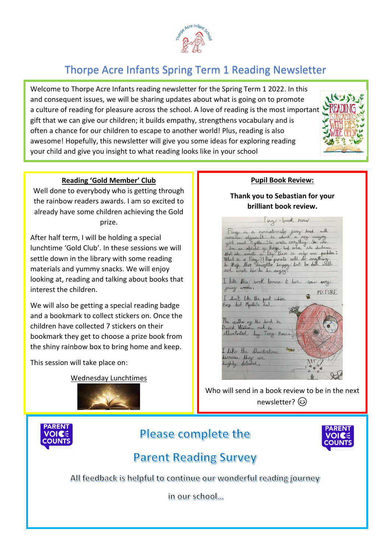

# Thorpe Acre Infants Spring Term 1 Reading Newsletter

Welcome to Thorpe Acre Infants reading newsletter for the Spring Term 1 2022. In this and consequent issues, we will be sharing updates about what is going on to promote a culture of reading for pleasure across the school. A love of reading is the most important gift that we can give our children; it builds empathy, strengthens vocabulary and is often a chance for our children to escape to another world! Plus, reading is also awesome! Hopefully, this newsletter will give you some ideas for exploring reading your child and give you insight to what reading looks like in your school



#### **Reading 'Gold Member' Club**

Well done to everybody who is getting through the rainbow readers awards. I am so excited to already have some children achieving the Gold prize.

After half term, I will be holding a special lunchtime 'Gold Club'. In these sessions we will settle down in the library with some reading materials and yummy snacks. We will enjoy looking at, reading and talking about books that interest the children.

We will also be getting a special reading badge and a bookmark to collect stickers on. Once the children have collected 7 stickers on their bookmark they get to choose a prize book from the shiny rainbow box to bring home and keep.

This session will take place on:

Wednesday Lunchtimes



#### **Pupil Book Review:**

**Thank you to Sebastian for your brilliant book review.**



Who will send in a book review to be in the next newsletter?  $\circled{e}$ 



## Please complete the



## **Parent Reading Survey**

All feedback is helpful to continue our wonderful reading journey

in our school...